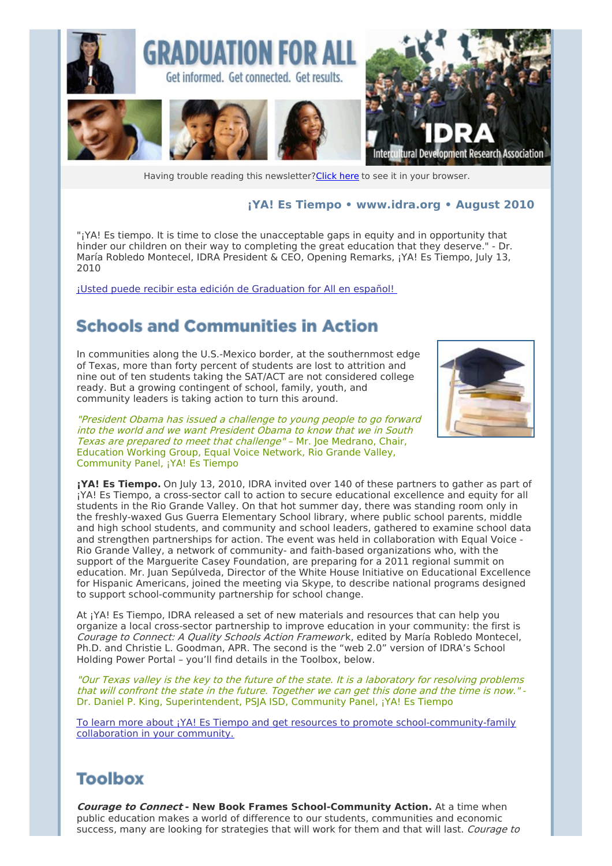

Having trouble reading this newsletter? Click here to see it in your browser.

#### **¡YA! Es Tiempo • [www.idra.org](http://idra.createsend1.com/t/1/l/cirjlk/l/www.idra.org) • August 2010**

"¡YA! Es tiempo. It is time to close the unacceptable gaps in equity and in opportunity that hinder our children on their way to completing the great education that they deserve." - Dr. María Robledo Montecel, IDRA President & CEO, Opening Remarks, ¡YA! Es Tiempo, July 13, 2010

¡Usted puede recibir esta edición de [Graduation](http://idra.createsend1.com/t/r/l/cirjlk/l/r) for All en español!

## **Schools and Communities in Action**

In communities along the U.S.-Mexico border, at the southernmost edge of Texas, more than forty percent of students are lost to attrition and nine out of ten students taking the SAT/ACT are not considered college ready. But a growing contingent of school, family, youth, and community leaders is taking action to turn this around.

"President Obama has issued <sup>a</sup> challenge to young people to go forward into the world and we want President Obama to know that we in South Texas are prepared to meet that challenge" – Mr. Joe Medrano, Chair, Education Working Group, Equal Voice Network, Rio Grande Valley, Community Panel, ¡YA! Es Tiempo



**¡YA! Es Tiempo.** On July 13, 2010, IDRA invited over 140 of these partners to gather as part of ¡YA! Es Tiempo, a cross-sector call to action to secure educational excellence and equity for all students in the Rio Grande Valley. On that hot summer day, there was standing room only in the freshly-waxed Gus Guerra Elementary School library, where public school parents, middle and high school students, and community and school leaders, gathered to examine school data and strengthen partnerships for action. The event was held in collaboration with Equal Voice - Rio Grande Valley, a network of community- and faith-based organizations who, with the support of the Marguerite Casey Foundation, are preparing for a 2011 regional summit on education. Mr. Juan Sepúlveda, Director of the White House Initiative on Educational Excellence for Hispanic Americans, joined the meeting via Skype, to describe national programs designed to support school-community partnership for school change.

At ¡YA! Es Tiempo, IDRA released a set of new materials and resources that can help you organize a local cross-sector partnership to improve education in your community: the first is Courage to Connect: A Quality Schools Action Framework, edited by María Robledo Montecel, Ph.D. and Christie L. Goodman, APR. The second is the "web 2.0" version of IDRA's School Holding Power Portal – you'll find details in the Toolbox, below.

"Our Texas valley is the key to the future of the state. It is <sup>a</sup> laboratory for resolving problems that will confront the state in the future. Together we can get this done and the time is now." - Dr. Daniel P. King, Superintendent, PSJA ISD, Community Panel, ¡YA! Es Tiempo

To learn more about ¡YA! Es Tiempo and get resources to promote [school-community-family](http://idra.createsend1.com/t/r/l/cirjlk/l/y) collaboration in your community.

#### **Toolbox**

**Courage to Connect - New Book Frames School-Community Action.** At a time when public education makes a world of difference to our students, communities and economic success, many are looking for strategies that will work for them and that will last. Courage to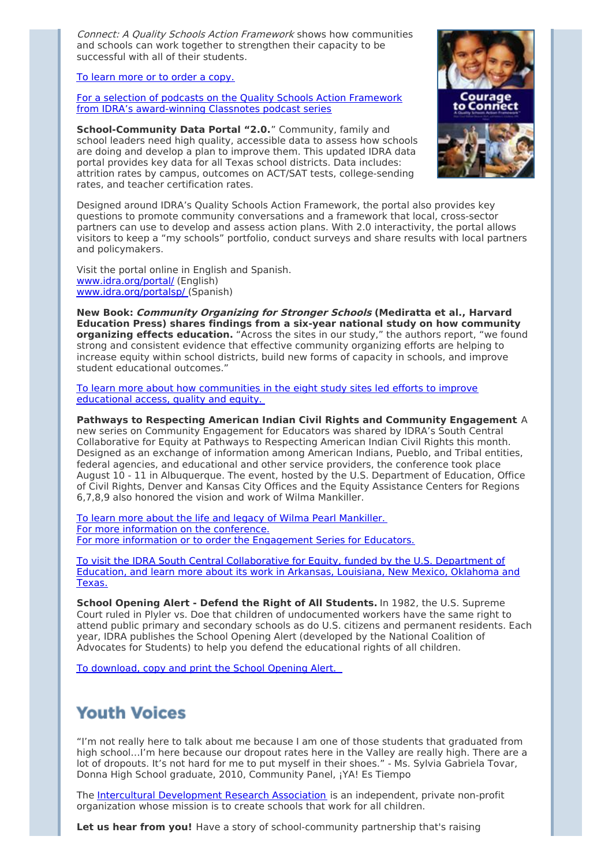Connect: A Quality Schools Action Framework shows how communities and schools can work together to strengthen their capacity to be successful with all of their students.

To learn more or to order a [copy.](http://idra.createsend1.com/t/r/l/cirjlk/l/j)

For a selection of podcasts on the Quality Schools Action Framework from IDRA's [award-winning](http://idra.createsend1.com/t/r/l/cirjlk/l/t) Classnotes podcast series

**School-Community Data Portal "2.0.**" Community, family and school leaders need high quality, accessible data to assess how schools are doing and develop a plan to improve them. This updated IDRA data portal provides key data for all Texas school districts. Data includes: attrition rates by campus, outcomes on ACT/SAT tests, college-sending rates, and teacher certification rates.



Designed around IDRA's Quality Schools Action Framework, the portal also provides key questions to promote community conversations and a framework that local, cross-sector partners can use to develop and assess action plans. With 2.0 interactivity, the portal allows visitors to keep a "my schools" portfolio, conduct surveys and share results with local partners and policymakers.

Visit the portal online in English and Spanish. [www.idra.org/portal/](http://idra.createsend1.com/t/r/l/cirjlk/l/i) (English) [www.idra.org/portalsp/](http://idra.createsend1.com/t/r/l/cirjlk/l/d) (Spanish)

**New Book: Community Organizing for Stronger Schools (Mediratta et al., Harvard Education Press) shares findings from a six-year national study on how community organizing effects education.** "Across the sites in our study," the authors report, "we found strong and consistent evidence that effective community organizing efforts are helping to increase equity within school districts, build new forms of capacity in schools, and improve student educational outcomes."

To learn more about how [communities](http://idra.createsend1.com/t/r/l/cirjlk/l/h) in the eight study sites led efforts to improve educational access, quality and equity.

**Pathways to Respecting American Indian Civil Rights and Community Engagement**. A new series on Community Engagement for Educators was shared by IDRA's South Central Collaborative for Equity at Pathways to Respecting American Indian Civil Rights this month. Designed as an exchange of information among American Indians, Pueblo, and Tribal entities, federal agencies, and educational and other service providers, the conference took place August 10 - 11 in Albuquerque. The event, hosted by the U.S. Department of Education, Office of Civil Rights, Denver and Kansas City Offices and the Equity Assistance Centers for Regions 6,7,8,9 also honored the vision and work of Wilma Mankiller.

To learn more about the life and legacy of Wilma Pearl [Mankiller.](http://idra.createsend1.com/t/r/l/cirjlk/l/k) For more information on the [conference.](http://idra.createsend1.com/t/r/l/cirjlk/l/u) For more information or to order the [Engagement](http://idra.createsend1.com/t/r/l/cirjlk/l/o) Series for Educators.

To visit the IDRA South Central [Collaborative](http://idra.createsend1.com/t/r/l/cirjlk/l/b) for Equity, funded by the U.S. Department of Education, and learn more about its work in Arkansas, Louisiana, New Mexico, Oklahoma and Texas.

**School Opening Alert - Defend the Right of All Students.** In 1982, the U.S. Supreme Court ruled in Plyler vs. Doe that children of undocumented workers have the same right to attend public primary and secondary schools as do U.S. citizens and permanent residents. Each year, IDRA publishes the School Opening Alert (developed by the National Coalition of Advocates for Students) to help you defend the educational rights of all children.

To [download,](http://idra.createsend1.com/t/r/l/cirjlk/l/n) copy and print the School Opening Alert.

## **Youth Voices**

"I'm not really here to talk about me because I am one of those students that graduated from high school...I'm here because our dropout rates here in the Valley are really high. There are a lot of dropouts. It's not hard for me to put myself in their shoes." - Ms. Sylvia Gabriela Tovar, Donna High School graduate, 2010, Community Panel, ¡YA! Es Tiempo

The Intercultural [Development](http://idra.createsend1.com/t/r/l/cirjlk/l/p) Research Association is an independent, private non-profit organization whose mission is to create schools that work for all children.

**Let us hear from you!** Have a story of school-community partnership that's raising